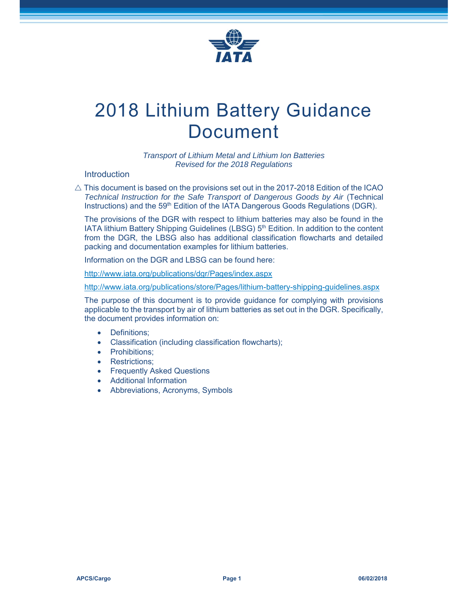

# 2018 Lithium Battery Guidance Document

*Transport of Lithium Metal and Lithium Ion Batteries Revised for the 2018 Regulations*

#### **Introduction**

 $\triangle$  This document is based on the provisions set out in the 2017-2018 Edition of the ICAO *Technical Instruction for the Safe Transport of Dangerous Goods by Air* (Technical Instructions) and the 59<sup>th</sup> Edition of the IATA Dangerous Goods Regulations (DGR).

The provisions of the DGR with respect to lithium batteries may also be found in the IATA lithium Battery Shipping Guidelines (LBSG)  $5<sup>th</sup>$  Edition. In addition to the content from the DGR, the LBSG also has additional classification flowcharts and detailed packing and documentation examples for lithium batteries.

Information on the DGR and LBSG can be found here:

http://www.iata.org/publications/dgr/Pages/index.aspx

http://www.iata.org/publications/store/Pages/lithium-battery-shipping-guidelines.aspx

The purpose of this document is to provide guidance for complying with provisions applicable to the transport by air of lithium batteries as set out in the DGR. Specifically, the document provides information on:

- Definitions;
- Classification (including classification flowcharts);
- Prohibitions:
- Restrictions;
- Frequently Asked Questions
- Additional Information
- Abbreviations, Acronyms, Symbols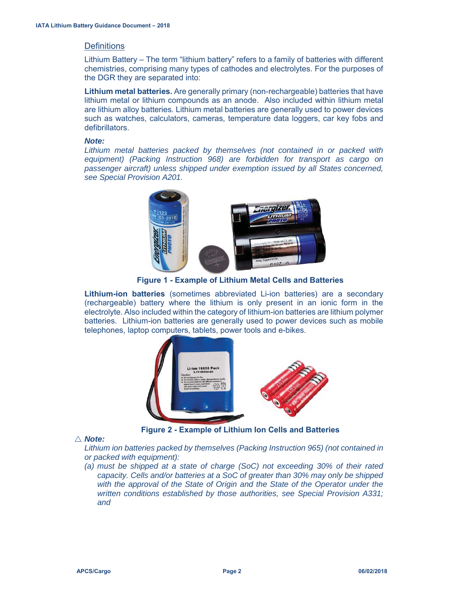# **Definitions**

Lithium Battery – The term "lithium battery" refers to a family of batteries with different chemistries, comprising many types of cathodes and electrolytes. For the purposes of the DGR they are separated into:

**Lithium metal batteries.** Are generally primary (non-rechargeable) batteries that have lithium metal or lithium compounds as an anode. Also included within lithium metal are lithium alloy batteries. Lithium metal batteries are generally used to power devices such as watches, calculators, cameras, temperature data loggers, car key fobs and defibrillators.

#### *Note:*

Lithium metal batteries packed by themselves (not contained in or packed with *equipment) (Packing Instruction 968) are forbidden for transport as cargo on passenger aircraft) unless shipped under exemption issued by all States concerned, see Special Provision A201.* 



**Figure 1 - Example of Lithium Metal Cells and Batteries** 

**Lithium-ion batteries** (sometimes abbreviated Li-ion batteries) are a secondary (rechargeable) battery where the lithium is only present in an ionic form in the electrolyte. Also included within the category of lithium-ion batteries are lithium polymer batteries. Lithium-ion batteries are generally used to power devices such as mobile telephones, laptop computers, tablets, power tools and e-bikes.



**Figure 2 - Example of Lithium Ion Cells and Batteries** 

# U *Note:*

*Lithium ion batteries packed by themselves (Packing Instruction 965) (not contained in or packed with equipment):* 

*(a) must be shipped at a state of charge (SoC) not exceeding 30% of their rated capacity. Cells and/or batteries at a SoC of greater than 30% may only be shipped*  with the approval of the State of Origin and the State of the Operator under the *written conditions established by those authorities, see Special Provision A331; and*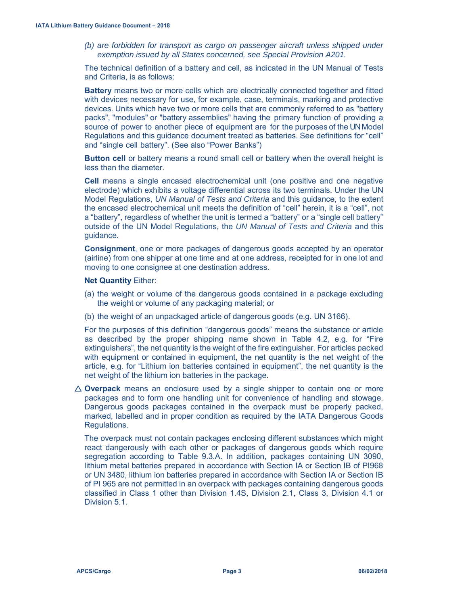*(b) are forbidden for transport as cargo on passenger aircraft unless shipped under exemption issued by all States concerned, see Special Provision A201.* 

The technical definition of a battery and cell, as indicated in the UN Manual of Tests and Criteria, is as follows:

**Battery** means two or more cells which are electrically connected together and fitted with devices necessary for use, for example, case, terminals, marking and protective devices. Units which have two or more cells that are commonly referred to as "battery packs", "modules" or "battery assemblies" having the primary function of providing a source of power to another piece of equipment are for the purposes of the UN Model Regulations and this guidance document treated as batteries. See definitions for "cell" and "single cell battery". (See also "Power Banks")

**Button cell** or battery means a round small cell or battery when the overall height is less than the diameter.

**Cell** means a single encased electrochemical unit (one positive and one negative electrode) which exhibits a voltage differential across its two terminals. Under the UN Model Regulations, *UN Manual of Tests and Criteria* and this guidance, to the extent the encased electrochemical unit meets the definition of "cell" herein, it is a "cell", not a "battery", regardless of whether the unit is termed a "battery" or a "single cell battery" outside of the UN Model Regulations, the *UN Manual of Tests and Criteria* and this guidance*.*

**Consignment**, one or more packages of dangerous goods accepted by an operator (airline) from one shipper at one time and at one address, receipted for in one lot and moving to one consignee at one destination address.

#### **Net Quantity** Either:

- (a) the weight or volume of the dangerous goods contained in a package excluding the weight or volume of any packaging material; or
- (b) the weight of an unpackaged article of dangerous goods (e.g. UN 3166).

For the purposes of this definition "dangerous goods" means the substance or article as described by the proper shipping name shown in Table 4.2, e.g. for "Fire extinguishers", the net quantity is the weight of the fire extinguisher. For articles packed with equipment or contained in equipment, the net quantity is the net weight of the article, e.g. for "Lithium ion batteries contained in equipment", the net quantity is the net weight of the lithium ion batteries in the package.

 $\triangle$  **Overpack** means an enclosure used by a single shipper to contain one or more packages and to form one handling unit for convenience of handling and stowage. Dangerous goods packages contained in the overpack must be properly packed, marked, labelled and in proper condition as required by the IATA Dangerous Goods Regulations.

The overpack must not contain packages enclosing different substances which might react dangerously with each other or packages of dangerous goods which require segregation according to Table 9.3.A. In addition, packages containing UN 3090, lithium metal batteries prepared in accordance with Section IA or Section IB of PI968 or UN 3480, lithium ion batteries prepared in accordance with Section IA or Section IB of PI 965 are not permitted in an overpack with packages containing dangerous goods classified in Class 1 other than Division 1.4S, Division 2.1, Class 3, Division 4.1 or Division 5.1.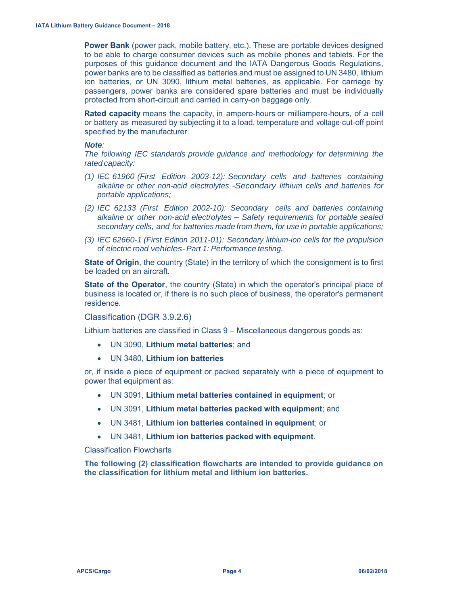**Power Bank** (power pack, mobile battery, etc.). These are portable devices designed to be able to charge consumer devices such as mobile phones and tablets. For the purposes of this guidance document and the IATA Dangerous Goods Regulations, power banks are to be classified as batteries and must be assigned to UN 3480, lithium ion batteries, or UN 3090, lithium metal batteries, as applicable. For carriage by passengers, power banks are considered spare batteries and must be individually protected from short-circuit and carried in carry-on baggage only.

**Rated capacity** means the capacity, in ampere-hours or milliampere-hours, of a cell or battery as measured by subjecting it to a load, temperature and voltage·cut-off point specified by the manufacturer.

#### *Note:*

*The following IEC standards provide guidance and methodology for determining the rated capacity:* 

- *(1) IEC 61960 (First Edition 2003-12): Secondary cells and batteries containing alkaline or other non-acid electrolytes -Secondary lithium cells and batteries for portable applications;*
- *(2) IEC 62133 (First Edition 2002-10): Secondary cells and batteries containing alkaline or other non-acid electrolytes* - *Safety requirements for portable sealed secondary cells, and for batteries made from them, for use in portable applications;*
- *(3) IEC 62660-1 (First Edition 2011-01): Secondary lithium-ion cells for the propulsion of electric road vehicles- Part 1: Performance testing.*

**State of Origin**, the country (State) in the territory of which the consignment is to first be loaded on an aircraft.

**State of the Operator**, the country (State) in which the operator's principal place of business is located or, if there is no such place of business, the operator's permanent residence.

Classification (DGR 3.9.2.6)

Lithium batteries are classified in Class 9 – Miscellaneous dangerous goods as:

- x UN 3090, **Lithium metal batteries**; and
- x UN 3480, **Lithium ion batteries**

or, if inside a piece of equipment or packed separately with a piece of equipment to power that equipment as:

- x UN 3091, **Lithium metal batteries contained in equipment**; or
- x UN 3091, **Lithium metal batteries packed with equipment**; and
- x UN 3481, **Lithium ion batteries contained in equipment**; or
- x UN 3481, **Lithium ion batteries packed with equipment**.

Classification Flowcharts

**The following (2) classification flowcharts are intended to provide guidance on the classification for lithium metal and lithium ion batteries.**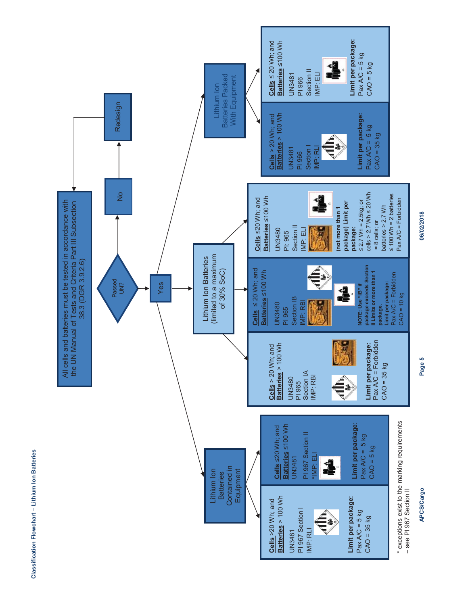**Limit per package:**  Limit per package:  $Cells \le 20$  Wh; and Batteries ≤100 Wh **Cells** ≤ 20 Wh; and **Batteries** ≤100 Wh  $Pax A/C = 5 kg$ Pax A/C = 5 kg  $CAO = 5 kg$ á CAO = 5 kg ¢ Section II IMP: ELI Section II Batteries Packed UN3481 **Batteries Packed** With Equipment PI 966 With Equipment Lithium Ion Lithium Ion No No **Redesign** Redesign **Batteries** > 100 Wh **Limit per package:**   $Cells > 20$  Wh; and tteries > 100 Wh Limit per package: **Cells** > 20 Wh; and  $Pax A/C = 5 kg$ Pax A/C = 5 kg  $CAO = 35 kg$  $CAO = 35 kg$ ▲  $\tilde{\epsilon}$ UN3481 **Section** IMP: RL PI 966  $\frac{1}{2}$  $cells > 2.7 Wh \leq 20 Wh$ cells > 2.7 Wh ≤ 20 Wh ≤ 100 Wh = 2 batteries  $\leq 100$  Wh = 2 batteries **A** Batteries ≤100 Wh **Batteries** ≤100 Wh Cells <20 Wh; and Pax A/C = Forbidden All cells and batteries must be tested in accordance with **Cells** ≤20 Wh; and  $\leq$  2.7 Wh = 2.5kg; or **package) Limit per**   $\leq$  2.7 Wh = 2.5 kg; or Pax A/C = Forbidden All cells and batteries must be tested in accordance with the UN Manual of Tests and Criteria Part III Subsection package) Limit per the UN Manual of Tests and Criteria Part III Subsection batteries  $> 2.7$  Wh batteries  $> 2.7$  Wh (not more than 1 **(not more than 1**   $= 8$  cells; or = 8 cells; or Section II  $\overline{\mathbb{R}}$ UN3480 **package:** Section II IMP: ELI PI: 965 (limited to a maximum (limited to a maximum Lithium Ion Batteries Lithium Ion Batteries 38.3 (DGR 3.9.2.6) 38.3 (DGR 3.9.2.6) **package exceeds Section**   $\bigoplus\limits_{i=1}^k$ package exceeds Section of 30% SoC) of 30% SoC) Cells  $\leq 20$  Wh; and **Cells** ≤ 20 Wh; and **Batteries** ≤100 Wh Batteries <100 Wh Il Limits or more than 1 **II Limits or more than 1**  Pax A/C = Forbidden Pax A/C = Forbidden 亀 Passed<br>UN? Yes **Limit per package:**  Limit per package: NOTE: Use "IB" if **NOTE: Use "IB" if**  4  $CAO = 10$  kg  $CAO = 10$  kg Section IB Section IB IMP: RBI MP: RBI UN3480 **package.**  PI 965 Pax A/C = Forbidden Pax  $A/C =$  Forbidden Cells > 20 Wh; and<br>**Batteries** > 100 Wh **Batteries** > 100 Wh **Limit per package:**  Limit per package: **Cells** > 20 Wh; and  $CAO = 35 kg$  $CAO = 35 kg$ Section IA IMP: RBI € UN3480<br>PI 965 \* exceptions exist to the marking requirements **Limit per package:**  \* exceptions exist to the marking requirements Limit per package: **Batteries** ≤100 Wh Batteries ≤100 Wh Cells <20 Wh; and **Cells** ≤20 Wh; and PI 967 Section II PI 967 Section II  $Pax A/C = 5 kg$ Pax  $A/C = 5$  kg  $CAO = 5 kg$  $CAO = 5$  kg **\***IMP: ELI **HNP: ELI** UN3481 4. Contained in Contained in Lithium Ion Lithium Ion **Equipment** Equipment **Batteries Batteries** - see PI 967 Section II – see PI 967 Section II**Batteries** > 100 Wh Batteries > 100 Wh Limit per package: **Limit per package:**  Cells >20 Wh; and **Cells** >20 Wh; and € PI 967 Section I PI 967 Section I  $Pax A/C = 5 kg$ Pax A/C = 5 kg  $CAO = 35 kg$ CAO = 35 kg IMP: RLI UN3481

Classification Flowchart - Lithium Ion Batteries **Classification Flowchart – Lithium Ion Batteries** 06/02/2018 **APCS/Cargo Page 5 06/02/2018** 

Page 5

**APCS/Cargo**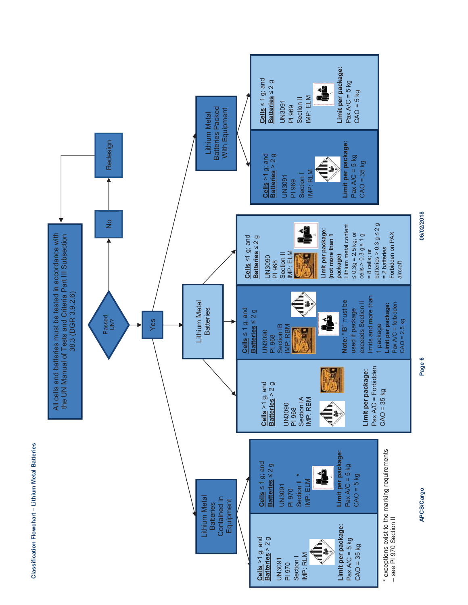



APCS/Cargo

06/02/2018 **APCS/Cargo Page 6 06/02/2018**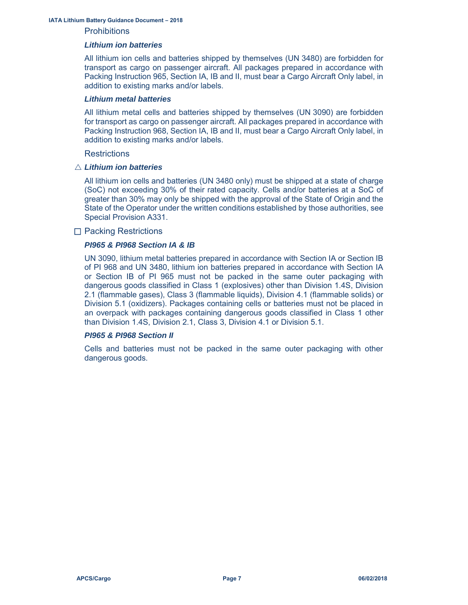#### **IATA Lithium Battery Guidance Document – 2018**

#### **Prohibitions**

#### *Lithium ion batteries*

All lithium ion cells and batteries shipped by themselves (UN 3480) are forbidden for transport as cargo on passenger aircraft. All packages prepared in accordance with Packing Instruction 965, Section IA, IB and II, must bear a Cargo Aircraft Only label, in addition to existing marks and/or labels.

#### *Lithium metal batteries*

All lithium metal cells and batteries shipped by themselves (UN 3090) are forbidden for transport as cargo on passenger aircraft. All packages prepared in accordance with Packing Instruction 968, Section IA, IB and II, must bear a Cargo Aircraft Only label, in addition to existing marks and/or labels.

#### **Restrictions**

#### $\triangle$  *Lithium ion batteries*

All lithium ion cells and batteries (UN 3480 only) must be shipped at a state of charge (SoC) not exceeding 30% of their rated capacity. Cells and/or batteries at a SoC of greater than 30% may only be shipped with the approval of the State of Origin and the State of the Operator under the written conditions established by those authorities, see Special Provision A331.

#### $\Box$  Packing Restrictions

#### *PI965 & PI968 Section IA & IB*

UN 3090, lithium metal batteries prepared in accordance with Section IA or Section IB of PI 968 and UN 3480, lithium ion batteries prepared in accordance with Section IA or Section IB of PI 965 must not be packed in the same outer packaging with dangerous goods classified in Class 1 (explosives) other than Division 1.4S, Division 2.1 (flammable gases), Class 3 (flammable liquids), Division 4.1 (flammable solids) or Division 5.1 (oxidizers). Packages containing cells or batteries must not be placed in an overpack with packages containing dangerous goods classified in Class 1 other than Division 1.4S, Division 2.1, Class 3, Division 4.1 or Division 5.1.

#### *PI965 & PI968 Section II*

Cells and batteries must not be packed in the same outer packaging with other dangerous goods.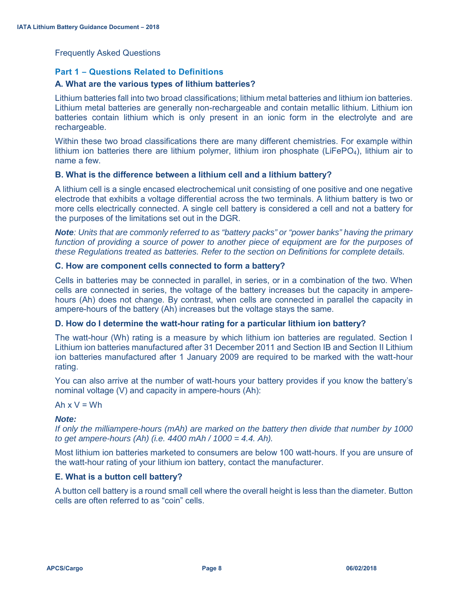Frequently Asked Questions

# **Part 1 – Questions Related to Definitions**

# **A. What are the various types of lithium batteries?**

Lithium batteries fall into two broad classifications; lithium metal batteries and lithium ion batteries. Lithium metal batteries are generally non-rechargeable and contain metallic lithium. Lithium ion batteries contain lithium which is only present in an ionic form in the electrolyte and are rechargeable.

Within these two broad classifications there are many different chemistries. For example within lithium ion batteries there are lithium polymer, lithium iron phosphate ( $LiFePO<sub>4</sub>$ ), lithium air to name a few.

# **B. What is the difference between a lithium cell and a lithium battery?**

A lithium cell is a single encased electrochemical unit consisting of one positive and one negative electrode that exhibits a voltage differential across the two terminals. A lithium battery is two or more cells electrically connected. A single cell battery is considered a cell and not a battery for the purposes of the limitations set out in the DGR.

*Note: Units that are commonly referred to as "battery packs" or "power banks" having the primary function of providing a source of power to another piece of equipment are for the purposes of these Regulations treated as batteries. Refer to the section on Definitions for complete details.* 

# **C. How are component cells connected to form a battery?**

Cells in batteries may be connected in parallel, in series, or in a combination of the two. When cells are connected in series, the voltage of the battery increases but the capacity in amperehours (Ah) does not change. By contrast, when cells are connected in parallel the capacity in ampere-hours of the battery (Ah) increases but the voltage stays the same.

# **D. How do I determine the watt-hour rating for a particular lithium ion battery?**

The watt-hour (Wh) rating is a measure by which lithium ion batteries are regulated. Section I Lithium ion batteries manufactured after 31 December 2011 and Section IB and Section II Lithium ion batteries manufactured after 1 January 2009 are required to be marked with the watt-hour rating.

You can also arrive at the number of watt-hours your battery provides if you know the battery's nominal voltage (V) and capacity in ampere-hours (Ah):

Ah  $x V = Wh$ 

# *Note:*

*If only the milliampere-hours (mAh) are marked on the battery then divide that number by 1000 to get ampere-hours (Ah) (i.e. 4400 mAh / 1000 = 4.4. Ah).* 

Most lithium ion batteries marketed to consumers are below 100 watt-hours. If you are unsure of the watt-hour rating of your lithium ion battery, contact the manufacturer.

# **E. What is a button cell battery?**

A button cell battery is a round small cell where the overall height is less than the diameter. Button cells are often referred to as "coin" cells.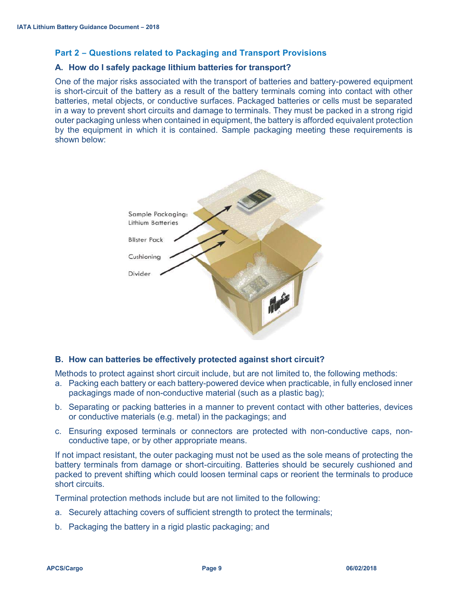# **Part 2 – Questions related to Packaging and Transport Provisions**

# **A. How do I safely package lithium batteries for transport?**

One of the major risks associated with the transport of batteries and battery-powered equipment is short-circuit of the battery as a result of the battery terminals coming into contact with other batteries, metal objects, or conductive surfaces. Packaged batteries or cells must be separated in a way to prevent short circuits and damage to terminals. They must be packed in a strong rigid outer packaging unless when contained in equipment, the battery is afforded equivalent protection by the equipment in which it is contained. Sample packaging meeting these requirements is shown below:



# **B. How can batteries be effectively protected against short circuit?**

Methods to protect against short circuit include, but are not limited to, the following methods:

- a. Packing each battery or each battery-powered device when practicable, in fully enclosed inner packagings made of non-conductive material (such as a plastic bag);
- b. Separating or packing batteries in a manner to prevent contact with other batteries, devices or conductive materials (e.g. metal) in the packagings; and
- c. Ensuring exposed terminals or connectors are protected with non-conductive caps, nonconductive tape, or by other appropriate means.

If not impact resistant, the outer packaging must not be used as the sole means of protecting the battery terminals from damage or short-circuiting. Batteries should be securely cushioned and packed to prevent shifting which could loosen terminal caps or reorient the terminals to produce short circuits.

Terminal protection methods include but are not limited to the following:

- a. Securely attaching covers of sufficient strength to protect the terminals;
- b. Packaging the battery in a rigid plastic packaging; and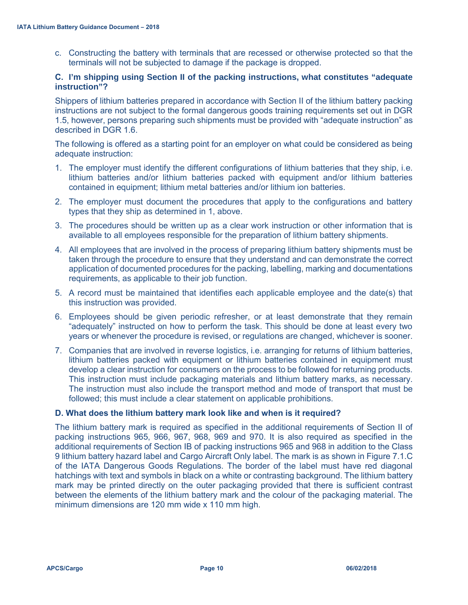c. Constructing the battery with terminals that are recessed or otherwise protected so that the terminals will not be subjected to damage if the package is dropped.

# **C. I'm shipping using Section II of the packing instructions, what constitutes "adequate instruction"?**

Shippers of lithium batteries prepared in accordance with Section II of the lithium battery packing instructions are not subject to the formal dangerous goods training requirements set out in DGR 1.5, however, persons preparing such shipments must be provided with "adequate instruction" as described in DGR 1.6.

The following is offered as a starting point for an employer on what could be considered as being adequate instruction:

- 1. The employer must identify the different configurations of lithium batteries that they ship, i.e. lithium batteries and/or lithium batteries packed with equipment and/or lithium batteries contained in equipment; lithium metal batteries and/or lithium ion batteries.
- 2. The employer must document the procedures that apply to the configurations and battery types that they ship as determined in 1, above.
- 3. The procedures should be written up as a clear work instruction or other information that is available to all employees responsible for the preparation of lithium battery shipments.
- 4. All employees that are involved in the process of preparing lithium battery shipments must be taken through the procedure to ensure that they understand and can demonstrate the correct application of documented procedures for the packing, labelling, marking and documentations requirements, as applicable to their job function.
- 5. A record must be maintained that identifies each applicable employee and the date(s) that this instruction was provided.
- 6. Employees should be given periodic refresher, or at least demonstrate that they remain "adequately" instructed on how to perform the task. This should be done at least every two years or whenever the procedure is revised, or regulations are changed, whichever is sooner.
- 7. Companies that are involved in reverse logistics, i.e. arranging for returns of lithium batteries, lithium batteries packed with equipment or lithium batteries contained in equipment must develop a clear instruction for consumers on the process to be followed for returning products. This instruction must include packaging materials and lithium battery marks, as necessary. The instruction must also include the transport method and mode of transport that must be followed; this must include a clear statement on applicable prohibitions.

# **D. What does the lithium battery mark look like and when is it required?**

The lithium battery mark is required as specified in the additional requirements of Section II of packing instructions 965, 966, 967, 968, 969 and 970. It is also required as specified in the additional requirements of Section IB of packing instructions 965 and 968 in addition to the Class 9 lithium battery hazard label and Cargo Aircraft Only label. The mark is as shown in Figure 7.1.C of the IATA Dangerous Goods Regulations. The border of the label must have red diagonal hatchings with text and symbols in black on a white or contrasting background. The lithium battery mark may be printed directly on the outer packaging provided that there is sufficient contrast between the elements of the lithium battery mark and the colour of the packaging material. The minimum dimensions are 120 mm wide x 110 mm high.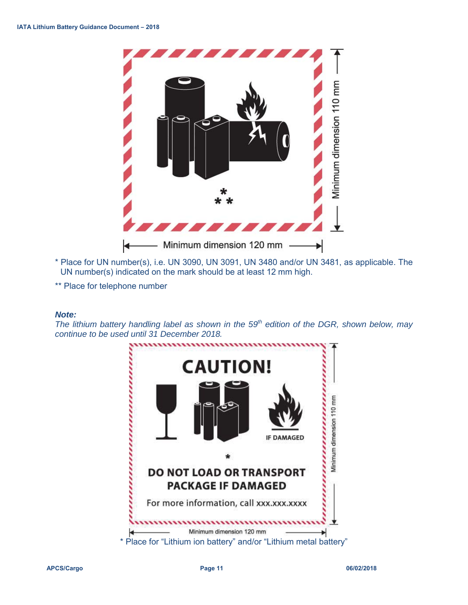

- \* Place for UN number(s), i.e. UN 3090, UN 3091, UN 3480 and/or UN 3481, as applicable. The UN number(s) indicated on the mark should be at least 12 mm high.
- \*\* Place for telephone number

#### *Note:*

The lithium battery handling label as shown in the 59<sup>th</sup> edition of the DGR, shown below, may *continue to be used until 31 December 2018.* 

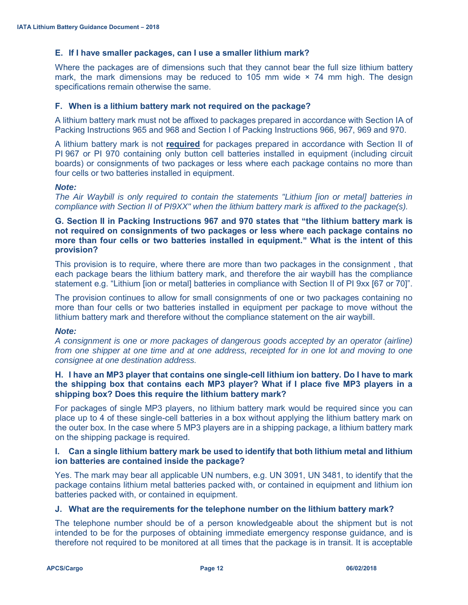# **E. If I have smaller packages, can I use a smaller lithium mark?**

Where the packages are of dimensions such that they cannot bear the full size lithium battery mark, the mark dimensions may be reduced to 105 mm wide  $\times$  74 mm high. The design specifications remain otherwise the same.

# **F. When is a lithium battery mark not required on the package?**

A lithium battery mark must not be affixed to packages prepared in accordance with Section IA of Packing Instructions 965 and 968 and Section I of Packing Instructions 966, 967, 969 and 970.

A lithium battery mark is not **required** for packages prepared in accordance with Section II of PI 967 or PI 970 containing only button cell batteries installed in equipment (including circuit boards) or consignments of two packages or less where each package contains no more than four cells or two batteries installed in equipment.

#### *Note:*

*The Air Waybill is only required to contain the statements "Lithium [ion or metal] batteries in compliance with Section II of PI9XX" when the lithium battery mark is affixed to the package(s).* 

# **G. Section II in Packing Instructions 967 and 970 states that "the lithium battery mark is not required on consignments of two packages or less where each package contains no more than four cells or two batteries installed in equipment." What is the intent of this provision?**

This provision is to require, where there are more than two packages in the consignment , that each package bears the lithium battery mark, and therefore the air waybill has the compliance statement e.g. "Lithium [ion or metal] batteries in compliance with Section II of PI 9xx [67 or 70]".

The provision continues to allow for small consignments of one or two packages containing no more than four cells or two batteries installed in equipment per package to move without the lithium battery mark and therefore without the compliance statement on the air waybill.

# *Note:*

*A consignment is one or more packages of dangerous goods accepted by an operator (airline) from one shipper at one time and at one address, receipted for in one lot and moving to one consignee at one destination address.* 

# **H. I have an MP3 player that contains one single-cell lithium ion battery. Do I have to mark the shipping box that contains each MP3 player? What if I place five MP3 players in a shipping box? Does this require the lithium battery mark?**

For packages of single MP3 players, no lithium battery mark would be required since you can place up to 4 of these single-cell batteries in a box without applying the lithium battery mark on the outer box. In the case where 5 MP3 players are in a shipping package, a lithium battery mark on the shipping package is required.

# **I. Can a single lithium battery mark be used to identify that both lithium metal and lithium ion batteries are contained inside the package?**

Yes. The mark may bear all applicable UN numbers, e.g. UN 3091, UN 3481, to identify that the package contains lithium metal batteries packed with, or contained in equipment and lithium ion batteries packed with, or contained in equipment.

# **J. What are the requirements for the telephone number on the lithium battery mark?**

The telephone number should be of a person knowledgeable about the shipment but is not intended to be for the purposes of obtaining immediate emergency response guidance, and is therefore not required to be monitored at all times that the package is in transit. It is acceptable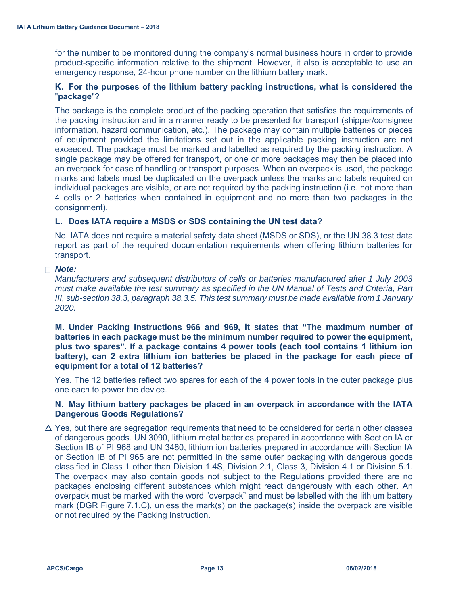for the number to be monitored during the company's normal business hours in order to provide product-specific information relative to the shipment. However, it also is acceptable to use an emergency response, 24-hour phone number on the lithium battery mark.

# **K. For the purposes of the lithium battery packing instructions, what is considered the** "**package**"?

The package is the complete product of the packing operation that satisfies the requirements of the packing instruction and in a manner ready to be presented for transport (shipper/consignee information, hazard communication, etc.). The package may contain multiple batteries or pieces of equipment provided the limitations set out in the applicable packing instruction are not exceeded. The package must be marked and labelled as required by the packing instruction. A single package may be offered for transport, or one or more packages may then be placed into an overpack for ease of handling or transport purposes. When an overpack is used, the package marks and labels must be duplicated on the overpack unless the marks and labels required on individual packages are visible, or are not required by the packing instruction (i.e. not more than 4 cells or 2 batteries when contained in equipment and no more than two packages in the consignment).

# **L. Does IATA require a MSDS or SDS containing the UN test data?**

No. IATA does not require a material safety data sheet (MSDS or SDS), or the UN 38.3 test data report as part of the required documentation requirements when offering lithium batteries for transport.

# *Note:*

*Manufacturers and subsequent distributors of cells or batteries manufactured after 1 July 2003 must make available the test summary as specified in the UN Manual of Tests and Criteria, Part III, sub-section 38.3, paragraph 38.3.5. This test summary must be made available from 1 January 2020.* 

**M. Under Packing Instructions 966 and 969, it states that "The maximum number of batteries in each package must be the minimum number required to power the equipment, plus two spares". If a package contains 4 power tools (each tool contains 1 lithium ion battery), can 2 extra lithium ion batteries be placed in the package for each piece of equipment for a total of 12 batteries?** 

Yes. The 12 batteries reflect two spares for each of the 4 power tools in the outer package plus one each to power the device.

# **N. May lithium battery packages be placed in an overpack in accordance with the IATA Dangerous Goods Regulations?**

 $\triangle$  Yes, but there are segregation requirements that need to be considered for certain other classes of dangerous goods. UN 3090, lithium metal batteries prepared in accordance with Section IA or Section IB of PI 968 and UN 3480, lithium ion batteries prepared in accordance with Section IA or Section IB of PI 965 are not permitted in the same outer packaging with dangerous goods classified in Class 1 other than Division 1.4S, Division 2.1, Class 3, Division 4.1 or Division 5.1. The overpack may also contain goods not subject to the Regulations provided there are no packages enclosing different substances which might react dangerously with each other. An overpack must be marked with the word "overpack" and must be labelled with the lithium battery mark (DGR Figure 7.1.C), unless the mark(s) on the package(s) inside the overpack are visible or not required by the Packing Instruction.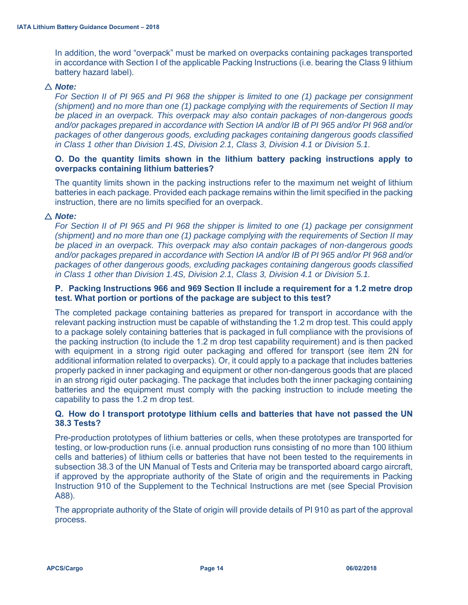In addition, the word "overpack" must be marked on overpacks containing packages transported in accordance with Section I of the applicable Packing Instructions (i.e. bearing the Class 9 lithium battery hazard label).

# △ Note:

*For Section II of PI 965 and PI 968 the shipper is limited to one (1) package per consignment (shipment) and no more than one (1) package complying with the requirements of Section II may be placed in an overpack. This overpack may also contain packages of non-dangerous goods and/or packages prepared in accordance with Section IA and/or IB of PI 965 and/or PI 968 and/or packages of other dangerous goods, excluding packages containing dangerous goods classified in Class 1 other than Division 1.4S, Division 2.1, Class 3, Division 4.1 or Division 5.1.* 

# **O. Do the quantity limits shown in the lithium battery packing instructions apply to overpacks containing lithium batteries?**

The quantity limits shown in the packing instructions refer to the maximum net weight of lithium batteries in each package. Provided each package remains within the limit specified in the packing instruction, there are no limits specified for an overpack.

# △ **Note:**

*For Section II of PI 965 and PI 968 the shipper is limited to one (1) package per consignment (shipment) and no more than one (1) package complying with the requirements of Section II may be placed in an overpack. This overpack may also contain packages of non-dangerous goods and/or packages prepared in accordance with Section IA and/or IB of PI 965 and/or PI 968 and/or packages of other dangerous goods, excluding packages containing dangerous goods classified in Class 1 other than Division 1.4S, Division 2.1, Class 3, Division 4.1 or Division 5.1.* 

# **P. Packing Instructions 966 and 969 Section II include a requirement for a 1.2 metre drop test. What portion or portions of the package are subject to this test?**

The completed package containing batteries as prepared for transport in accordance with the relevant packing instruction must be capable of withstanding the 1.2 m drop test. This could apply to a package solely containing batteries that is packaged in full compliance with the provisions of the packing instruction (to include the 1.2 m drop test capability requirement) and is then packed with equipment in a strong rigid outer packaging and offered for transport (see item 2N for additional information related to overpacks). Or, it could apply to a package that includes batteries properly packed in inner packaging and equipment or other non-dangerous goods that are placed in an strong rigid outer packaging. The package that includes both the inner packaging containing batteries and the equipment must comply with the packing instruction to include meeting the capability to pass the 1.2 m drop test.

# **Q. How do I transport prototype lithium cells and batteries that have not passed the UN 38.3 Tests?**

Pre-production prototypes of lithium batteries or cells, when these prototypes are transported for testing, or low-production runs (i.e. annual production runs consisting of no more than 100 lithium cells and batteries) of lithium cells or batteries that have not been tested to the requirements in subsection 38.3 of the UN Manual of Tests and Criteria may be transported aboard cargo aircraft, if approved by the appropriate authority of the State of origin and the requirements in Packing Instruction 910 of the Supplement to the Technical Instructions are met (see Special Provision A88).

The appropriate authority of the State of origin will provide details of PI 910 as part of the approval process.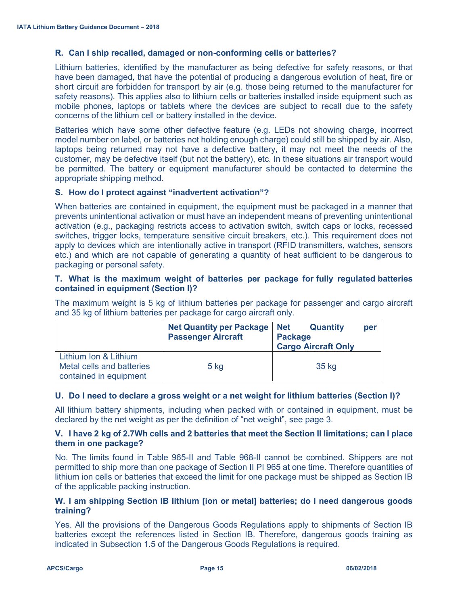# **R. Can I ship recalled, damaged or non-conforming cells or batteries?**

Lithium batteries, identified by the manufacturer as being defective for safety reasons, or that have been damaged, that have the potential of producing a dangerous evolution of heat, fire or short circuit are forbidden for transport by air (e.g. those being returned to the manufacturer for safety reasons). This applies also to lithium cells or batteries installed inside equipment such as mobile phones, laptops or tablets where the devices are subject to recall due to the safety concerns of the lithium cell or battery installed in the device.

Batteries which have some other defective feature (e.g. LEDs not showing charge, incorrect model number on label, or batteries not holding enough charge) could still be shipped by air. Also, laptops being returned may not have a defective battery, it may not meet the needs of the customer, may be defective itself (but not the battery), etc. In these situations air transport would be permitted. The battery or equipment manufacturer should be contacted to determine the appropriate shipping method.

# **S. How do I protect against "inadvertent activation"?**

When batteries are contained in equipment, the equipment must be packaged in a manner that prevents unintentional activation or must have an independent means of preventing unintentional activation (e.g., packaging restricts access to activation switch, switch caps or locks, recessed switches, trigger locks, temperature sensitive circuit breakers, etc.). This requirement does not apply to devices which are intentionally active in transport (RFID transmitters, watches, sensors etc.) and which are not capable of generating a quantity of heat sufficient to be dangerous to packaging or personal safety.

# **T. What is the maximum weight of batteries per package for fully regulated batteries contained in equipment (Section I)?**

The maximum weight is 5 kg of lithium batteries per package for passenger and cargo aircraft and 35 kg of lithium batteries per package for cargo aircraft only.

|                                                                              | <b>Net Quantity per Package</b><br><b>Passenger Aircraft</b> | <b>Net</b><br><b>Quantity</b><br><b>Package</b><br><b>Cargo Aircraft Only</b> | per |
|------------------------------------------------------------------------------|--------------------------------------------------------------|-------------------------------------------------------------------------------|-----|
| Lithium Ion & Lithium<br>Metal cells and batteries<br>contained in equipment | $5$ kg                                                       | 35 kg                                                                         |     |

# **U. Do I need to declare a gross weight or a net weight for lithium batteries (Section I)?**

All lithium battery shipments, including when packed with or contained in equipment, must be declared by the net weight as per the definition of "net weight", see page 3.

# **V. I have 2 kg of 2.7Wh cells and 2 batteries that meet the Section II limitations; can I place them in one package?**

No. The limits found in Table 965-II and Table 968-II cannot be combined. Shippers are not permitted to ship more than one package of Section II PI 965 at one time. Therefore quantities of lithium ion cells or batteries that exceed the limit for one package must be shipped as Section IB of the applicable packing instruction.

# **W. I am shipping Section IB lithium [ion or metal] batteries; do I need dangerous goods training?**

Yes. All the provisions of the Dangerous Goods Regulations apply to shipments of Section IB batteries except the references listed in Section IB. Therefore, dangerous goods training as indicated in Subsection 1.5 of the Dangerous Goods Regulations is required.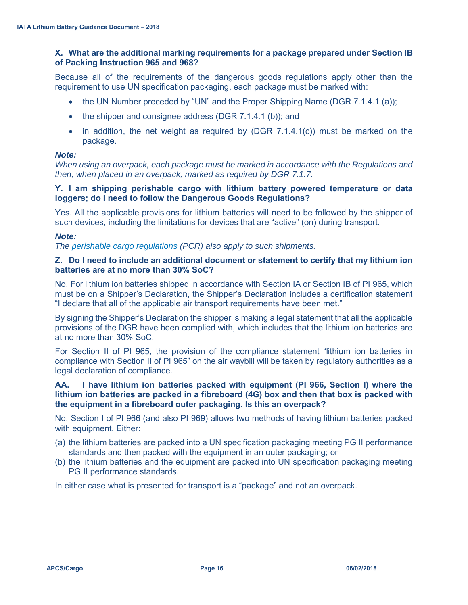# **X. What are the additional marking requirements for a package prepared under Section IB of Packing Instruction 965 and 968?**

Because all of the requirements of the dangerous goods regulations apply other than the requirement to use UN specification packaging, each package must be marked with:

- the UN Number preceded by "UN" and the Proper Shipping Name (DGR 7.1.4.1 (a));
- $\bullet$  the shipper and consignee address (DGR 7.1.4.1 (b)); and
- in addition, the net weight as required by (DGR  $7.1.4.1(c)$ ) must be marked on the package.

# *Note:*

*When using an overpack, each package must be marked in accordance with the Regulations and then, when placed in an overpack, marked as required by DGR 7.1.7.* 

# **Y. I am shipping perishable cargo with lithium battery powered temperature or data loggers; do I need to follow the Dangerous Goods Regulations?**

Yes. All the applicable provisions for lithium batteries will need to be followed by the shipper of such devices, including the limitations for devices that are "active" (on) during transport.

# *Note:*

*The perishable cargo regulations (PCR) also apply to such shipments.* 

# **Z. Do I need to include an additional document or statement to certify that my lithium ion batteries are at no more than 30% SoC?**

No. For lithium ion batteries shipped in accordance with Section IA or Section IB of PI 965, which must be on a Shipper's Declaration, the Shipper's Declaration includes a certification statement "I declare that all of the applicable air transport requirements have been met."

By signing the Shipper's Declaration the shipper is making a legal statement that all the applicable provisions of the DGR have been complied with, which includes that the lithium ion batteries are at no more than 30% SoC.

For Section II of PI 965, the provision of the compliance statement "lithium ion batteries in compliance with Section II of PI 965" on the air waybill will be taken by regulatory authorities as a legal declaration of compliance.

# **AA. I have lithium ion batteries packed with equipment (PI 966, Section I) where the lithium ion batteries are packed in a fibreboard (4G) box and then that box is packed with the equipment in a fibreboard outer packaging. Is this an overpack?**

No, Section I of PI 966 (and also PI 969) allows two methods of having lithium batteries packed with equipment. Either:

- (a) the lithium batteries are packed into a UN specification packaging meeting PG II performance standards and then packed with the equipment in an outer packaging; or
- (b) the lithium batteries and the equipment are packed into UN specification packaging meeting PG II performance standards.

In either case what is presented for transport is a "package" and not an overpack.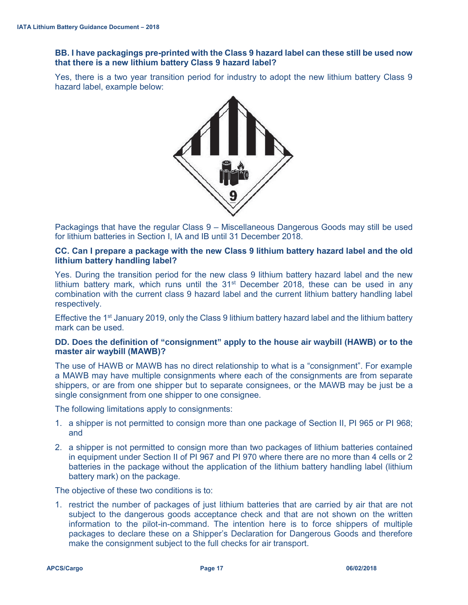# **BB. I have packagings pre-printed with the Class 9 hazard label can these still be used now that there is a new lithium battery Class 9 hazard label?**

Yes, there is a two year transition period for industry to adopt the new lithium battery Class 9 hazard label, example below:



Packagings that have the regular Class 9 – Miscellaneous Dangerous Goods may still be used for lithium batteries in Section I, IA and IB until 31 December 2018.

# **CC. Can I prepare a package with the new Class 9 lithium battery hazard label and the old lithium battery handling label?**

Yes. During the transition period for the new class 9 lithium battery hazard label and the new lithium battery mark, which runs until the  $31<sup>st</sup>$  December 2018, these can be used in any combination with the current class 9 hazard label and the current lithium battery handling label respectively.

Effective the 1<sup>st</sup> January 2019, only the Class 9 lithium battery hazard label and the lithium battery mark can be used.

# **DD. Does the definition of "consignment" apply to the house air waybill (HAWB) or to the master air waybill (MAWB)?**

The use of HAWB or MAWB has no direct relationship to what is a "consignment". For example a MAWB may have multiple consignments where each of the consignments are from separate shippers, or are from one shipper but to separate consignees, or the MAWB may be just be a single consignment from one shipper to one consignee.

The following limitations apply to consignments:

- 1. a shipper is not permitted to consign more than one package of Section II, PI 965 or PI 968; and
- 2. a shipper is not permitted to consign more than two packages of lithium batteries contained in equipment under Section II of PI 967 and PI 970 where there are no more than 4 cells or 2 batteries in the package without the application of the lithium battery handling label (lithium battery mark) on the package.

The objective of these two conditions is to:

1. restrict the number of packages of just lithium batteries that are carried by air that are not subject to the dangerous goods acceptance check and that are not shown on the written information to the pilot-in-command. The intention here is to force shippers of multiple packages to declare these on a Shipper's Declaration for Dangerous Goods and therefore make the consignment subject to the full checks for air transport.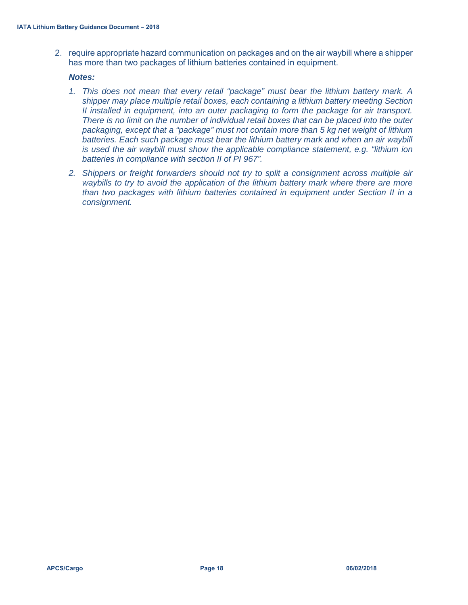2. require appropriate hazard communication on packages and on the air waybill where a shipper has more than two packages of lithium batteries contained in equipment.

#### *Notes:*

- *1. This does not mean that every retail "package" must bear the lithium battery mark. A shipper may place multiple retail boxes, each containing a lithium battery meeting Section II installed in equipment, into an outer packaging to form the package for air transport. There is no limit on the number of individual retail boxes that can be placed into the outer packaging, except that a "package" must not contain more than 5 kg net weight of lithium batteries. Each such package must bear the lithium battery mark and when an air waybill is used the air waybill must show the applicable compliance statement, e.g. "lithium ion batteries in compliance with section II of PI 967".*
- *2. Shippers or freight forwarders should not try to split a consignment across multiple air waybills to try to avoid the application of the lithium battery mark where there are more than two packages with lithium batteries contained in equipment under Section II in a consignment.*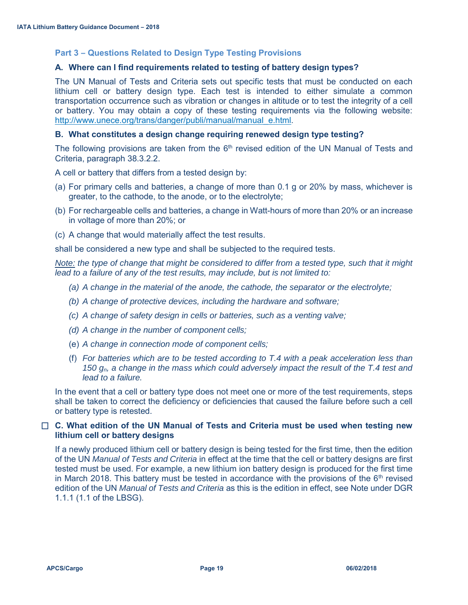# **Part 3 – Questions Related to Design Type Testing Provisions**

# **A. Where can I find requirements related to testing of battery design types?**

The UN Manual of Tests and Criteria sets out specific tests that must be conducted on each lithium cell or battery design type. Each test is intended to either simulate a common transportation occurrence such as vibration or changes in altitude or to test the integrity of a cell or battery. You may obtain a copy of these testing requirements via the following website: http://www.unece.org/trans/danger/publi/manual/manual\_e.html.

#### **B. What constitutes a design change requiring renewed design type testing?**

The following provisions are taken from the  $6<sup>th</sup>$  revised edition of the UN Manual of Tests and Criteria, paragraph 38.3.2.2.

A cell or battery that differs from a tested design by:

- (a) For primary cells and batteries, a change of more than 0.1 g or 20% by mass, whichever is greater, to the cathode, to the anode, or to the electrolyte;
- (b) For rechargeable cells and batteries, a change in Watt-hours of more than 20% or an increase in voltage of more than 20%; or
- (c) A change that would materially affect the test results.

shall be considered a new type and shall be subjected to the required tests.

*Note: the type of change that might be considered to differ from a tested type, such that it might lead to a failure of any of the test results, may include, but is not limited to:* 

- *(a) A change in the material of the anode, the cathode, the separator or the electrolyte;*
- *(b) A change of protective devices, including the hardware and software;*
- *(c) A change of safety design in cells or batteries, such as a venting valve;*
- *(d) A change in the number of component cells;*
- (e) *A change in connection mode of component cells;*
- (f) *For batteries which are to be tested according to T.4 with a peak acceleration less than 150 gn, a change in the mass which could adversely impact the result of the T.4 test and lead to a failure.*

In the event that a cell or battery type does not meet one or more of the test requirements, steps shall be taken to correct the deficiency or deficiencies that caused the failure before such a cell or battery type is retested.

# **C. What edition of the UN Manual of Tests and Criteria must be used when testing new lithium cell or battery designs**

If a newly produced lithium cell or battery design is being tested for the first time, then the edition of the UN *Manual of Tests and Criteria* in effect at the time that the cell or battery designs are first tested must be used. For example, a new lithium ion battery design is produced for the first time in March 2018. This battery must be tested in accordance with the provisions of the  $6<sup>th</sup>$  revised edition of the UN *Manual of Tests and Criteria* as this is the edition in effect, see Note under DGR 1.1.1 (1.1 of the LBSG).